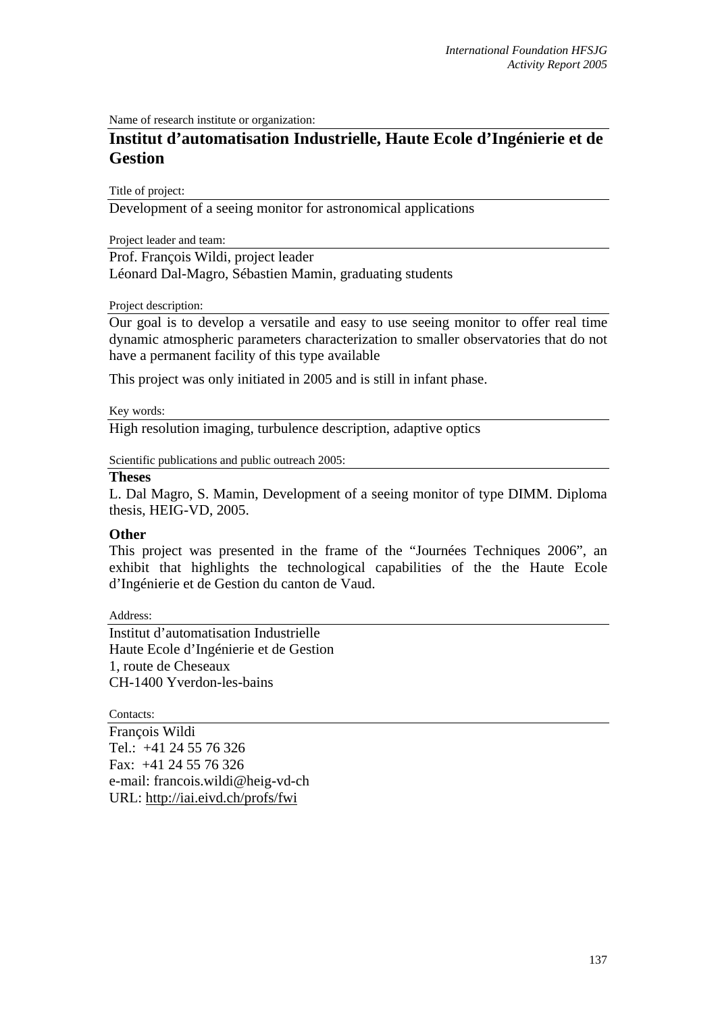Name of research institute or organization:

## **Institut d'automatisation Industrielle, Haute Ecole d'Ingénierie et de Gestion**

Title of project:

Development of a seeing monitor for astronomical applications

Project leader and team:

Prof. François Wildi, project leader Léonard Dal-Magro, Sébastien Mamin, graduating students

Project description:

Our goal is to develop a versatile and easy to use seeing monitor to offer real time dynamic atmospheric parameters characterization to smaller observatories that do not have a permanent facility of this type available

This project was only initiated in 2005 and is still in infant phase.

Key words:

High resolution imaging, turbulence description, adaptive optics

Scientific publications and public outreach 2005:

## **Theses**

L. Dal Magro, S. Mamin, Development of a seeing monitor of type DIMM. Diploma thesis, HEIG-VD, 2005.

## **Other**

This project was presented in the frame of the "Journées Techniques 2006", an exhibit that highlights the technological capabilities of the the Haute Ecole d'Ingénierie et de Gestion du canton de Vaud.

Address:

Institut d'automatisation Industrielle Haute Ecole d'Ingénierie et de Gestion 1, route de Cheseaux CH-1400 Yverdon-les-bains

Contacts:

François Wildi Tel.: +41 24 55 76 326 Fax: +41 24 55 76 326 e-mail: francois.wildi@heig-vd-ch URL: http://iai.eivd.ch/profs/fwi